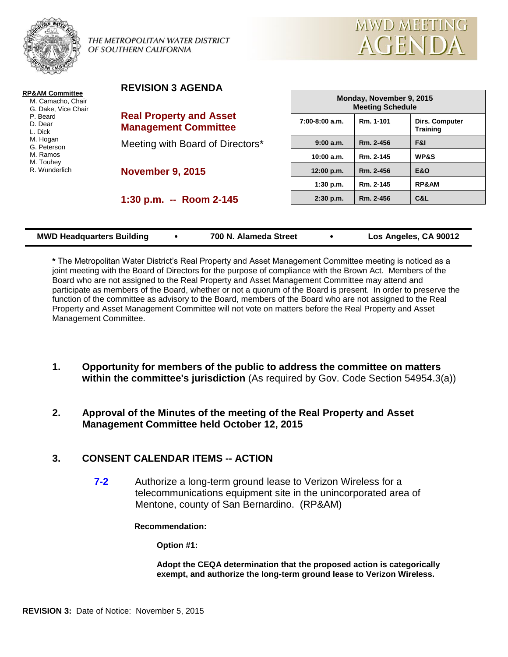

**REVISION 3 AGENDA**



| <b>RP&amp;AM Committee</b><br>M. Camacho, Chair<br>G. Dake, Vice Chair<br>P. Beard<br>D. Dear<br>L. Dick<br>M. Hogan<br>G. Peterson<br>M. Ramos<br>M. Touhey<br>R. Wunderlich | <b>REVISION 3 AGENDA</b>                                      | Monday, November 9, 2015<br><b>Meeting Schedule</b> |           |                                   |  |
|-------------------------------------------------------------------------------------------------------------------------------------------------------------------------------|---------------------------------------------------------------|-----------------------------------------------------|-----------|-----------------------------------|--|
|                                                                                                                                                                               | <b>Real Property and Asset</b><br><b>Management Committee</b> | 7:00-8:00 a.m.                                      | Rm. 1-101 | Dirs. Computer<br><b>Training</b> |  |
|                                                                                                                                                                               | Meeting with Board of Directors*                              | 9:00 a.m.                                           | Rm. 2-456 | F&I                               |  |
|                                                                                                                                                                               |                                                               | 10:00 a.m.                                          | Rm. 2-145 | WP&S                              |  |
|                                                                                                                                                                               | <b>November 9, 2015</b>                                       | 12:00 p.m.                                          | Rm. 2-456 | <b>E&amp;O</b>                    |  |
|                                                                                                                                                                               |                                                               | 1:30 p.m.                                           | Rm. 2-145 | RP&AM                             |  |
|                                                                                                                                                                               | 1:30 p.m. -- Room 2-145                                       | 2:30 p.m.                                           | Rm. 2-456 | C&L                               |  |
|                                                                                                                                                                               |                                                               |                                                     |           |                                   |  |

| <b>MWD Headquarters Building</b> | 700 N. Alameda Street | Los Angeles, CA 90012 |
|----------------------------------|-----------------------|-----------------------|
|                                  |                       |                       |

**\*** The Metropolitan Water District's Real Property and Asset Management Committee meeting is noticed as a joint meeting with the Board of Directors for the purpose of compliance with the Brown Act. Members of the Board who are not assigned to the Real Property and Asset Management Committee may attend and participate as members of the Board, whether or not a quorum of the Board is present. In order to preserve the function of the committee as advisory to the Board, members of the Board who are not assigned to the Real Property and Asset Management Committee will not vote on matters before the Real Property and Asset Management Committee.

- **1. Opportunity for members of the public to address the committee on matters within the committee's jurisdiction** (As required by Gov. Code Section 54954.3(a))
- **2. Approval of the Minutes of the meeting of the Real Property and Asset Management Committee held October 12, 2015**

# **3. CONSENT CALENDAR ITEMS -- ACTION**

**7-2** Authorize a long-term ground lease to Verizon Wireless for a telecommunications equipment site in the unincorporated area of Mentone, county of San Bernardino. (RP&AM)

**Recommendation:**

**Option #1:**

**Adopt the CEQA determination that the proposed action is categorically exempt, and authorize the long-term ground lease to Verizon Wireless.**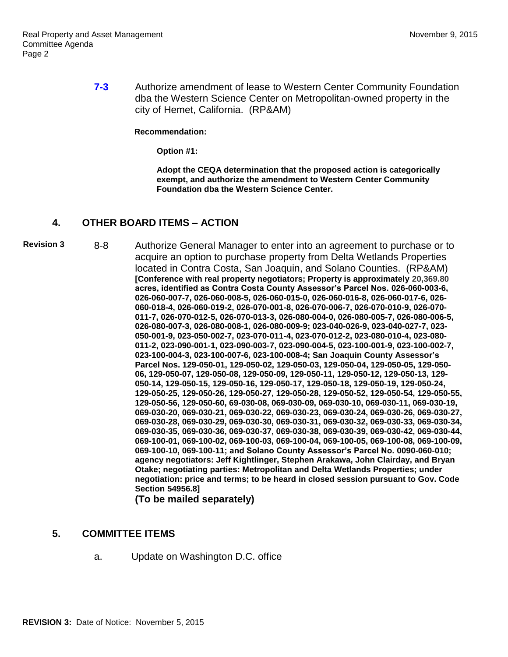**7-3** Authorize amendment of lease to Western Center Community Foundation dba the Western Science Center on Metropolitan-owned property in the city of Hemet, California. (RP&AM)

#### **Recommendation:**

**Option #1:**

**Adopt the CEQA determination that the proposed action is categorically exempt, and authorize the amendment to Western Center Community Foundation dba the Western Science Center.**

# **4. OTHER BOARD ITEMS – ACTION**

**Revision 3** 8-8 Authorize General Manager to enter into an agreement to purchase or to acquire an option to purchase property from Delta Wetlands Properties located in Contra Costa, San Joaquin, and Solano Counties. (RP&AM) **[Conference with real property negotiators; Property is approximately 20,369.80 acres, identified as Contra Costa County Assessor's Parcel Nos. 026-060-003-6, 026-060-007-7, 026-060-008-5, 026-060-015-0, 026-060-016-8, 026-060-017-6, 026- 060-018-4, 026-060-019-2, 026-070-001-8, 026-070-006-7, 026-070-010-9, 026-070- 011-7, 026-070-012-5, 026-070-013-3, 026-080-004-0, 026-080-005-7, 026-080-006-5, 026-080-007-3, 026-080-008-1, 026-080-009-9; 023-040-026-9, 023-040-027-7, 023- 050-001-9, 023-050-002-7, 023-070-011-4, 023-070-012-2, 023-080-010-4, 023-080- 011-2, 023-090-001-1, 023-090-003-7, 023-090-004-5, 023-100-001-9, 023-100-002-7, 023-100-004-3, 023-100-007-6, 023-100-008-4; San Joaquin County Assessor's Parcel Nos. 129-050-01, 129-050-02, 129-050-03, 129-050-04, 129-050-05, 129-050- 06, 129-050-07, 129-050-08, 129-050-09, 129-050-11, 129-050-12, 129-050-13, 129- 050-14, 129-050-15, 129-050-16, 129-050-17, 129-050-18, 129-050-19, 129-050-24, 129-050-25, 129-050-26, 129-050-27, 129-050-28, 129-050-52, 129-050-54, 129-050-55, 129-050-56, 129-050-60, 69-030-08, 069-030-09, 069-030-10, 069-030-11, 069-030-19, 069-030-20, 069-030-21, 069-030-22, 069-030-23, 069-030-24, 069-030-26, 069-030-27, 069-030-28, 069-030-29, 069-030-30, 069-030-31, 069-030-32, 069-030-33, 069-030-34, 069-030-35, 069-030-36, 069-030-37, 069-030-38, 069-030-39, 069-030-42, 069-030-44, 069-100-01, 069-100-02, 069-100-03, 069-100-04, 069-100-05, 069-100-08, 069-100-09, 069-100-10, 069-100-11; and Solano County Assessor's Parcel No. 0090-060-010; agency negotiators: Jeff Kightlinger, Stephen Arakawa, John Clairday, and Bryan Otake; negotiating parties: Metropolitan and Delta Wetlands Properties; under negotiation: price and terms; to be heard in closed session pursuant to Gov. Code Section 54956.8]**

**(To be mailed separately)**

## **5. COMMITTEE ITEMS**

a. Update on Washington D.C. office